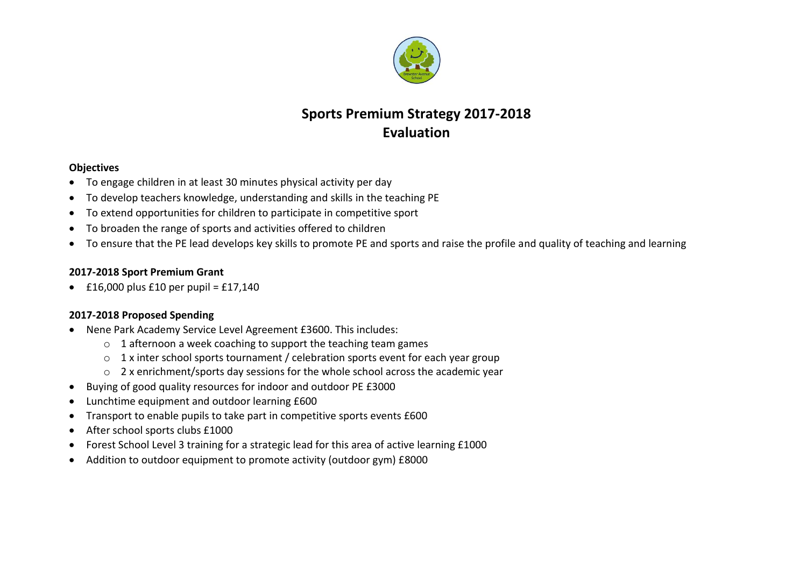

# **Sports Premium Strategy 2017-2018 Evaluation**

#### **Objectives**

- To engage children in at least 30 minutes physical activity per day
- To develop teachers knowledge, understanding and skills in the teaching PE
- To extend opportunities for children to participate in competitive sport
- To broaden the range of sports and activities offered to children
- To ensure that the PE lead develops key skills to promote PE and sports and raise the profile and quality of teaching and learning

#### **2017-2018 Sport Premium Grant**

 $\cdot$  £16,000 plus £10 per pupil = £17,140

### **2017-2018 Proposed Spending**

- Nene Park Academy Service Level Agreement £3600. This includes:
	- $\circ$  1 afternoon a week coaching to support the teaching team games
	- o 1 x inter school sports tournament / celebration sports event for each year group
	- o 2 x enrichment/sports day sessions for the whole school across the academic year
- Buying of good quality resources for indoor and outdoor PE £3000
- Lunchtime equipment and outdoor learning £600
- Transport to enable pupils to take part in competitive sports events £600
- After school sports clubs £1000
- Forest School Level 3 training for a strategic lead for this area of active learning £1000
- Addition to outdoor equipment to promote activity (outdoor gym) £8000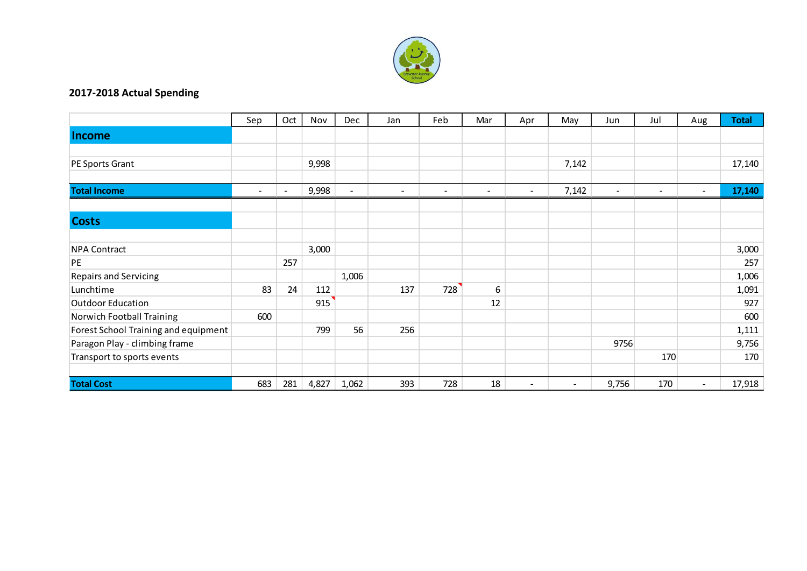

## **2017-2018 Actual Spending**

|                                      | Sep    | Oct    | Nov   | Dec            | Jan            | Feb                      | Mar                      | Apr    | May                      | Jun                      | Jul                      | Aug    | <b>Total</b> |
|--------------------------------------|--------|--------|-------|----------------|----------------|--------------------------|--------------------------|--------|--------------------------|--------------------------|--------------------------|--------|--------------|
| <b>Income</b>                        |        |        |       |                |                |                          |                          |        |                          |                          |                          |        |              |
|                                      |        |        |       |                |                |                          |                          |        |                          |                          |                          |        |              |
| PE Sports Grant                      |        |        | 9,998 |                |                |                          |                          |        | 7,142                    |                          |                          |        | 17,140       |
|                                      |        |        |       |                |                |                          |                          |        |                          |                          |                          |        |              |
| <b>Total Income</b>                  | $\sim$ | $\sim$ | 9,998 | $\blacksquare$ | $\blacksquare$ | $\overline{\phantom{a}}$ | $\overline{\phantom{0}}$ | $\sim$ | 7,142                    | $\overline{\phantom{a}}$ | $\overline{\phantom{0}}$ | $\sim$ | 17,140       |
|                                      |        |        |       |                |                |                          |                          |        |                          |                          |                          |        |              |
| <b>Costs</b>                         |        |        |       |                |                |                          |                          |        |                          |                          |                          |        |              |
|                                      |        |        |       |                |                |                          |                          |        |                          |                          |                          |        |              |
| <b>NPA Contract</b>                  |        |        | 3,000 |                |                |                          |                          |        |                          |                          |                          |        | 3,000        |
| PE                                   |        | 257    |       |                |                |                          |                          |        |                          |                          |                          |        | 257          |
| <b>Repairs and Servicing</b>         |        |        |       | 1,006          |                |                          |                          |        |                          |                          |                          |        | 1,006        |
| Lunchtime                            | 83     | 24     | 112   |                | 137            | 728                      | 6                        |        |                          |                          |                          |        | 1,091        |
| <b>Outdoor Education</b>             |        |        | 915   |                |                |                          | 12                       |        |                          |                          |                          |        | 927          |
| Norwich Football Training            | 600    |        |       |                |                |                          |                          |        |                          |                          |                          |        | 600          |
| Forest School Training and equipment |        |        | 799   | 56             | 256            |                          |                          |        |                          |                          |                          |        | 1,111        |
| Paragon Play - climbing frame        |        |        |       |                |                |                          |                          |        |                          | 9756                     |                          |        | 9,756        |
| Transport to sports events           |        |        |       |                |                |                          |                          |        |                          |                          | 170                      |        | 170          |
|                                      |        |        |       |                |                |                          |                          |        |                          |                          |                          |        |              |
| <b>Total Cost</b>                    | 683    | 281    | 4,827 | 1,062          | 393            | 728                      | 18                       | $\sim$ | $\overline{\phantom{a}}$ | 9,756                    | 170                      | $\sim$ | 17,918       |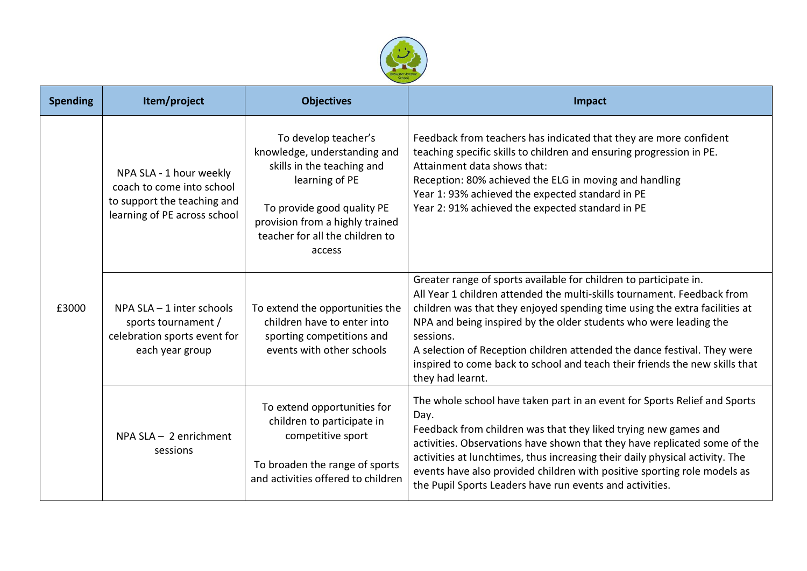

| <b>Spending</b> | Item/project                                                                                                        | <b>Objectives</b>                                                                                                                                                                                                  | Impact                                                                                                                                                                                                                                                                                                                                                                                                                                                                                      |  |  |  |  |
|-----------------|---------------------------------------------------------------------------------------------------------------------|--------------------------------------------------------------------------------------------------------------------------------------------------------------------------------------------------------------------|---------------------------------------------------------------------------------------------------------------------------------------------------------------------------------------------------------------------------------------------------------------------------------------------------------------------------------------------------------------------------------------------------------------------------------------------------------------------------------------------|--|--|--|--|
| £3000           | NPA SLA - 1 hour weekly<br>coach to come into school<br>to support the teaching and<br>learning of PE across school | To develop teacher's<br>knowledge, understanding and<br>skills in the teaching and<br>learning of PE<br>To provide good quality PE<br>provision from a highly trained<br>teacher for all the children to<br>access | Feedback from teachers has indicated that they are more confident<br>teaching specific skills to children and ensuring progression in PE.<br>Attainment data shows that:<br>Reception: 80% achieved the ELG in moving and handling<br>Year 1: 93% achieved the expected standard in PE<br>Year 2: 91% achieved the expected standard in PE                                                                                                                                                  |  |  |  |  |
|                 | NPA $SLA - 1$ inter schools<br>sports tournament /<br>celebration sports event for<br>each year group               | To extend the opportunities the<br>children have to enter into<br>sporting competitions and<br>events with other schools                                                                                           | Greater range of sports available for children to participate in.<br>All Year 1 children attended the multi-skills tournament. Feedback from<br>children was that they enjoyed spending time using the extra facilities at<br>NPA and being inspired by the older students who were leading the<br>sessions.<br>A selection of Reception children attended the dance festival. They were<br>inspired to come back to school and teach their friends the new skills that<br>they had learnt. |  |  |  |  |
|                 | $NPA SLA - 2$ enrichment<br>sessions                                                                                | To extend opportunities for<br>children to participate in<br>competitive sport<br>To broaden the range of sports<br>and activities offered to children                                                             | The whole school have taken part in an event for Sports Relief and Sports<br>Day.<br>Feedback from children was that they liked trying new games and<br>activities. Observations have shown that they have replicated some of the<br>activities at lunchtimes, thus increasing their daily physical activity. The<br>events have also provided children with positive sporting role models as<br>the Pupil Sports Leaders have run events and activities.                                   |  |  |  |  |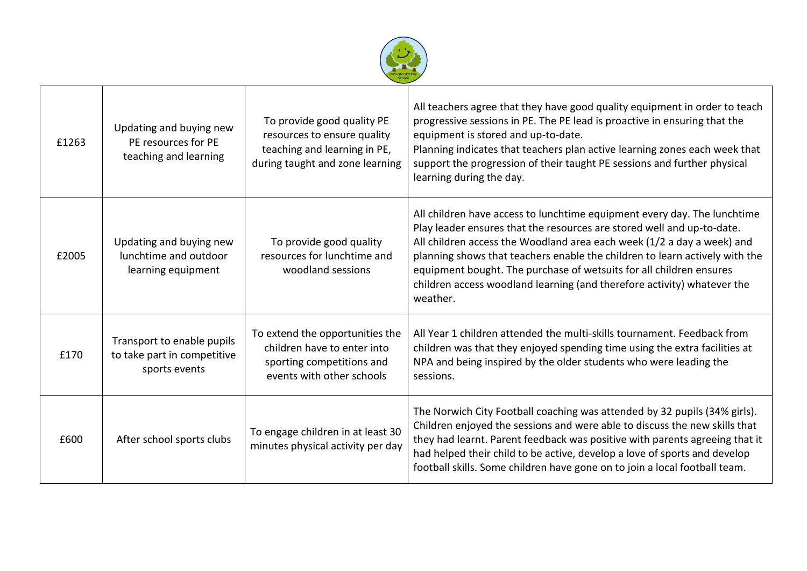

| £1263 | Updating and buying new<br>PE resources for PE<br>teaching and learning    | To provide good quality PE<br>resources to ensure quality<br>teaching and learning in PE,<br>during taught and zone learning | All teachers agree that they have good quality equipment in order to teach<br>progressive sessions in PE. The PE lead is proactive in ensuring that the<br>equipment is stored and up-to-date.<br>Planning indicates that teachers plan active learning zones each week that<br>support the progression of their taught PE sessions and further physical<br>learning during the day.                                                                                      |
|-------|----------------------------------------------------------------------------|------------------------------------------------------------------------------------------------------------------------------|---------------------------------------------------------------------------------------------------------------------------------------------------------------------------------------------------------------------------------------------------------------------------------------------------------------------------------------------------------------------------------------------------------------------------------------------------------------------------|
| £2005 | Updating and buying new<br>lunchtime and outdoor<br>learning equipment     | To provide good quality<br>resources for lunchtime and<br>woodland sessions                                                  | All children have access to lunchtime equipment every day. The lunchtime<br>Play leader ensures that the resources are stored well and up-to-date.<br>All children access the Woodland area each week (1/2 a day a week) and<br>planning shows that teachers enable the children to learn actively with the<br>equipment bought. The purchase of wetsuits for all children ensures<br>children access woodland learning (and therefore activity) whatever the<br>weather. |
| £170  | Transport to enable pupils<br>to take part in competitive<br>sports events | To extend the opportunities the<br>children have to enter into<br>sporting competitions and<br>events with other schools     | All Year 1 children attended the multi-skills tournament. Feedback from<br>children was that they enjoyed spending time using the extra facilities at<br>NPA and being inspired by the older students who were leading the<br>sessions.                                                                                                                                                                                                                                   |
| £600  | After school sports clubs                                                  | To engage children in at least 30<br>minutes physical activity per day                                                       | The Norwich City Football coaching was attended by 32 pupils (34% girls).<br>Children enjoyed the sessions and were able to discuss the new skills that<br>they had learnt. Parent feedback was positive with parents agreeing that it<br>had helped their child to be active, develop a love of sports and develop<br>football skills. Some children have gone on to join a local football team.                                                                         |